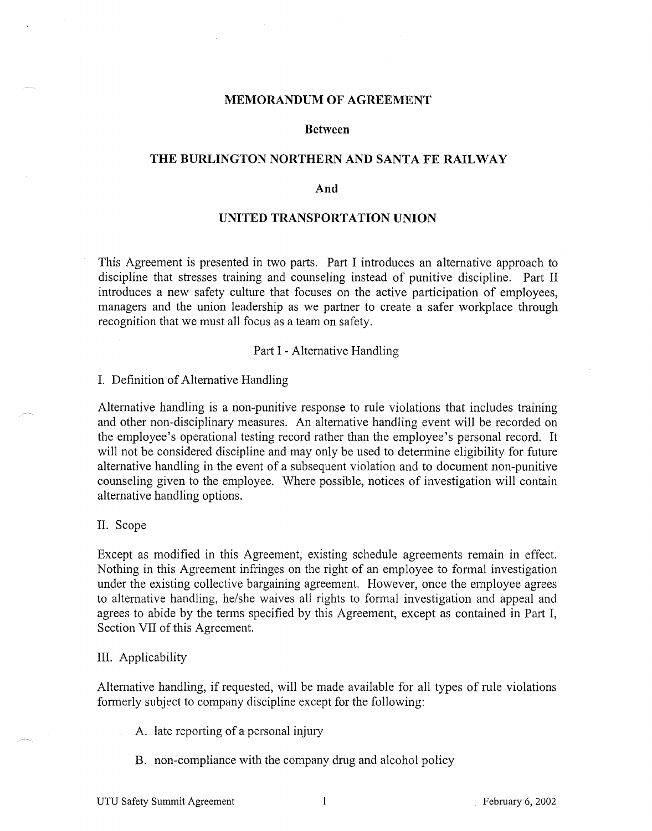#### **MEMORANDUM OF AGREEMENT**

### **Between**

## **THE BURLINGTON NORTHERN AND SANTA FE RAILWAY**

#### **And**

## **UNITED TRANSPORTATION UNION**

This Agreement is presented in two parts. Part I introduces an alternative approach to discipline that stresses training and counseling instead of punitive discipline. Part II introduces a new safety culture that focuses on the active participation of employees, managers and the union leadership as we partner to create a safer workplace through recognition that we must all focus as a team on safety.

### Part I - Alternative Handling

#### I. Definition of Alternative Handling

Alternative handling is a non-punitive response to rule violations that includes training and other non-disciplinary measures. An alternative handling event will be recorded on the employee's operational testing record rather than the employee's personal record. It will not be considered discipline and may only be used to determine eligibility for future alternative handling in the event of a subsequent violation and to document non-punitive counseling given to the employee. Where possible, notices of investigation will contain alternative handling options.

#### II. Scope

Except as modified in this Agreement, existing schedule agreements remain in effect. Nothing in this Agreement infringes on the right of an employee to formal investigation under the existing collective bargaining agreement. However, once the employee agrees to alternative handling, he/she waives all rights to formal investigation and appeal and agrees to abide by the terms specified by this Agreement, except as contained in Part I, Section VII of this Agreement.

#### III. Applicability

Alternative handling, if requested, will be made available for all types of rule violations formerly subject to company discipline except for the following:

A. late reporting of a personal injury

B. non-compliance with the company drug and alcohol policy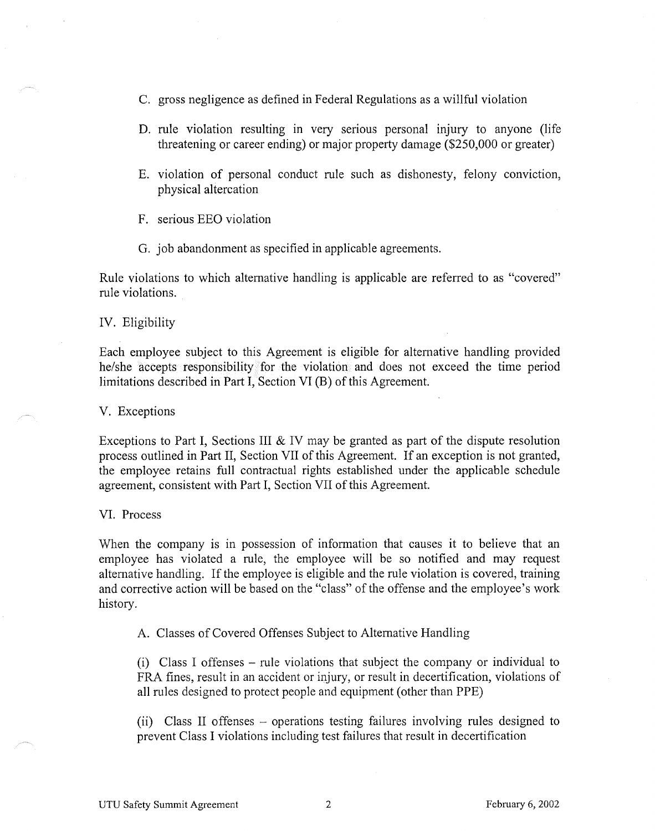- C. gross negligence as defined in Federal Regulations as a willful violation
- D. rule violation resulting in very serious personal injury to anyone (life threatening or career ending) or major property damage (\$250,000 or greater)
- E. violation of personal conduct rule such as dishonesty, felony conviction, physical altercation
- F. serious EEO violation
- G. job abandonment as specified in applicable agreements.

Rule violations to which alternative handling is applicable are referred to as "covered" rule violations.

#### IV. Eligibility

Each employee subject to this Agreement is eligible for alternative handling provided he/she accepts responsibility for the violation and does not exceed the time period limitations described in Part I, Section VI (B) of this Agreement.

V. Exceptions

Exceptions to Part I, Sections III & IV may be granted as part of the dispute resolution process outlined in Part II, Section VII of this Agreement. If an exception is not granted, the employee retains full contractual rights established under the applicable schedule agreement, consistent with Part I, Section VII of this Agreement.

VI. Process

When the company is in possession of information that causes it to believe that an employee has violated a rule, the employee will be so notified and may request alternative handling. If the employee is eligible and the rule violation is covered, training and corrective action will be based on the "class" of the offense and the employee's work history.

A. Classes of Covered Offenses Subject to Alternative Handling

(i) Class I offenses - rule violations that subject the company or individual to FRA fines, result in an accident or injury, or result in decertification, violations of all rules designed to protect people and equipment (other than PPE)

(ii) Class II offenses - operations testing failures involving rules designed to prevent Class I violations including test failures that result in decertification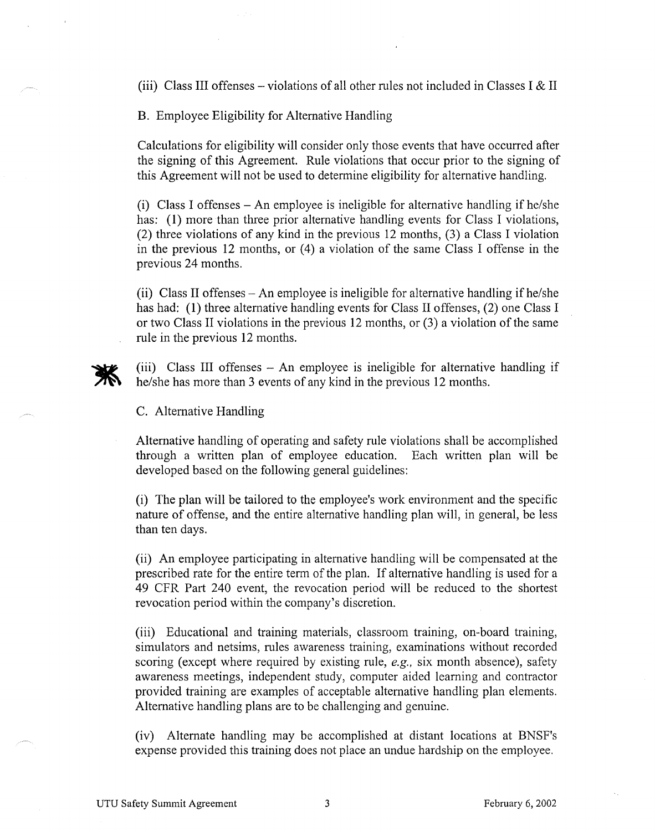(iii) Class III offenses – violations of all other rules not included in Classes I & II

B. Employee Eligibility for Alternative Handling

Calculations for eligibility will consider only those events that have occurred after the signing of this Agreement. Rule violations that occur prior to the signing of this Agreement will not be used to determine eligibility for alternative handling.

(i) Class I offenses  $-$  An employee is ineligible for alternative handling if he/she has: (1) more than three prior alternative handling events for Class I violations, (2) three violations of any kind in the previous 12 months, (3) a Class I violation in the previous 12 months, or (4) a violation of the same Class I offense in the previous 24 months.

(ii) Class II offenses -An employee is ineligible for alternative handling if he/she has had: (1) three alternative handling events for Class II offenses, (2) one Class I or two Class II violations in the previous 12 months, or (3) a violation of the same rule in the previous 12 months.



(iii) Class III offenses - An employee is ineligible for alternative handling if he/she has more than 3 events of any kind in the previous 12 months.

C. Alternative Handling

Alternative handling of operating and safety rule violations shall be accomplished through a written plan of employee education. Each written plan will be developed based on the following general guidelines:

(i) The plan will be tailored to the employee's work environment and the specific nature of offense, and the entire alternative handling plan will, in general, be less than ten days.

(ii) An employee participating in alternative handling will be compensated at the prescribed rate for the entire term of the plan. If alternative handling is used for a 49 CFR Part 240 event, the revocation period will be reduced to the shortest revocation period within the company's discretion.

(iii) Educational and training materials, classroom training, on-board training, simulators and netsims, rules awareness training, examinations without recorded scoring (except where required by existing rule, *e.g.,* six month absence), safety awareness meetings, independent study, computer aided learning and contractor provided training are examples of acceptable alternative handling plan elements. Alternative handling plans are to be challenging and genuine.

(iv) Alternate handling may be accomplished at distant locations at BNSF's expense provided this training does not place an undue hardship on the employee.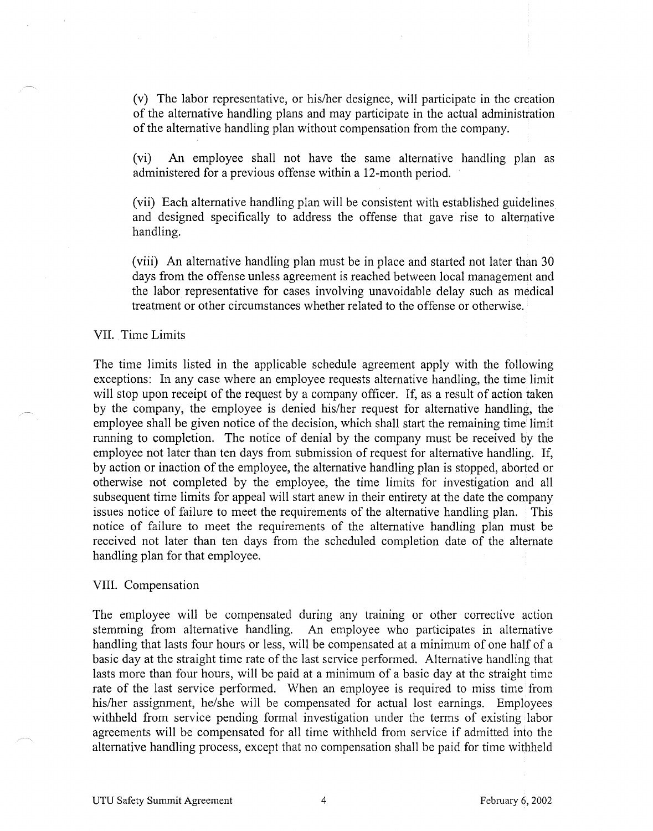(v) The labor representative, or his/her designee, will participate in the creation of the alternative handling plans and may participate in the actual administration of the alternative handling plan without compensation from the company.

(vi) An employee shall not have the same alternative handling plan as administered for a previous offense within a 12-month period.

(vii) Each alternative handling plan will be consistent with established guidelines and designed specifically to address the offense that gave rise to alternative handling.

(viii) An alternative handling plan must be in place and started not later than 30 days from the offense unless agreement is reached between local management and the labor representative for cases involving unavoidable delay such as medical treatment or other circumstances whether related to the offense or otherwise.

## VII. Time Limits

The time limits listed in the applicable schedule agreement apply with the following exceptions: In any case where an employee requests alternative handling, the time limit will stop upon receipt of the request by a company officer. If, as a result of action taken by the company, the employee is denied his/her request for alternative handling, the employee shall be given notice of the decision, which shall start the remaining time limit running to completion. The notice of denial by the company must be received by the employee not later than ten days from submission of request for alternative handling. If, by action or inaction of the employee, the alternative handling plan is stopped, aborted or otherwise not completed by the employee, the time limits for investigation and all subsequent time limits for appeal will start anew in their entirety at the date the company issues notice of failure to meet the requirements of the alternative handling plan. This notice of failure to meet the requirements of the alternative handling plan must be received not later than ten days from the scheduled completion date of the alternate handling plan for that employee.

### VIII. Compensation

The employee will be compensated during any training or other corrective action stemming from alternative handling. An employee who participates in alternative handling that lasts four hours or less, will be compensated at a minimum of one half of a basic day at the straight time rate of the last service performed. Alternative handling that lasts more than four hours, will be paid at a minimum of a basic day at the straight time rate of the last service performed. When an employee is required to miss time from his/her assignment, he/she will be compensated for actual lost earnings. Employees withheld from service pending formal investigation under the terms of existing labor agreements will be compensated for all time withheld from service if admitted into the alternative handling process, except that no compensation shall be paid for time withheld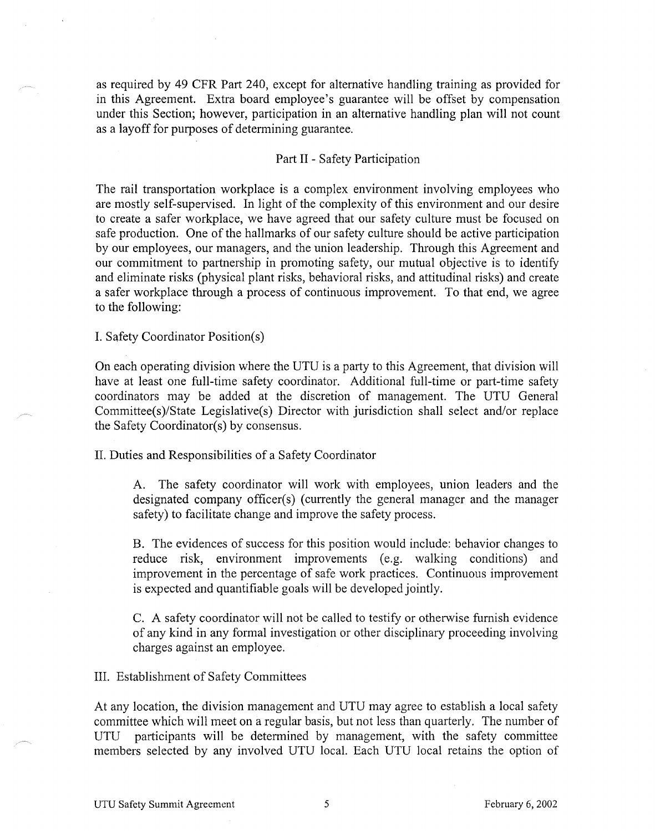as required by 49 CFR Part 240, except for alternative handling training as provided for in this Agreement. Extra board employee's guarantee will be offset by compensation under this Section; however, participation in an alternative handling plan will not count as a layoff for purposes of determining guarantee.

## Part II - Safety Participation

The rail transportation workplace is a complex environment involving employees who are mostly self-supervised. In light of the complexity of this environment and our desire to create a safer workplace, we have agreed that our safety culture must be focused on safe production. One of the hallmarks of our safety culture should be active participation by our employees, our managers, and the union leadership. Through this Agreement and our commitment to partnership in promoting safety, our mutual objective is to identify and eliminate risks (physical plant risks, behavioral risks, and attitudinal risks) and create a safer workplace through a process of continuous improvement. To that end, we agree to the following:

I. Safety Coordinator Position(s)

On each operating division where the UTU is a party to this Agreement, that division will have at least one full-time safety coordinator. Additional full-time or part-time safety coordinators may be added at the discretion of management. The UTU General Committee(s)/State Legislative(s) Director with jurisdiction shall select and/or replace the Safety Coordinator(s) by consensus.

II. Duties and Responsibilities of a Safety Coordinator

A. The safety coordinator will work with employees, union leaders and the designated company officer(s) (currently the general manager and the manager safety) to facilitate change and improve the safety process.

B. The evidences of success for this position would include: behavior changes to reduce risk, environment improvements (e.g. walking conditions) and improvement in the percentage of safe work practices. Continuous improvement is expected and quantifiable goals will be developed jointly.

C. A safety coordinator will not be called to testify or otherwise furnish evidence of any kind in any formal investigation or other disciplinary proceeding involving charges against an employee.

III. Establishment of Safety Committees

At any location, the division management and UTU may agree to establish a local safety committee which will meet on a regular basis, but not less than quarterly. The number of UTU participants will be determined by management, with the safety committee members selected by any involved UTU local. Each UTU local retains the option of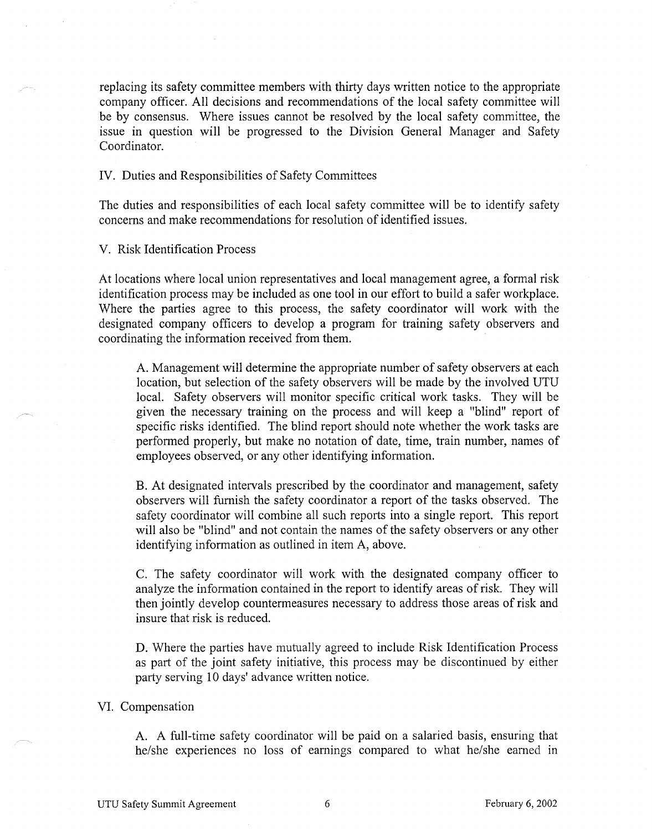replacing its safety committee members with thirty days written notice to the appropriate company officer. All decisions and recommendations of the local safety committee will be by consensus. Where issues cannot be resolved by the local safety committee, the issue in question will be progressed to the Division General Manager and Safety Coordinator.

## IV. Duties and Responsibilities of Safety Committees

The duties and responsibilities of each local safety committee will be to identify safety concerns and make recommendations for resolution of identified issues.

V. Risk Identification Process

At locations where local union representatives and local management agree, a formal risk identification process may be included as one tool in our effort to build a safer workplace. Where the parties agree to this process, the safety coordinator will work with the designated company officers to develop a program for training safety observers and coordinating the information received from them.

A. Management will determine the appropriate number of safety observers at each location, but selection of the safety observers will be made by the involved UTU local. Safety observers will monitor specific critical work tasks. They will be given the necessary training on the process and will keep a "blind" report of specific risks identified. The blind report should note whether the work tasks are performed properly, but make no notation of date, time, train number, names of employees observed, or any other identifying information.

B. At designated intervals prescribed by the coordinator and management, safety observers will furnish the safety coordinator a report of the tasks observed. The safety coordinator will combine all such reports into a single report. This report will also be "blind" and not contain the names of the safety observers or any other identifying information as outlined in item A, above.

C. The safety coordinator will work with the designated company officer to analyze the information contained in the report to identify areas of risk. They will then jointly develop countermeasures necessary to address those areas of risk and insure that risk is reduced.

D. Where the parties have mutually agreed to include Risk Identification Process as part of the joint safety initiative, this process may be discontinued by either party serving 10 days' advance written notice.

#### VI. Compensation

A. A full-time safety coordinator will be paid on a salaried basis, ensuring that he/she experiences no loss of earnings compared to what he/she earned in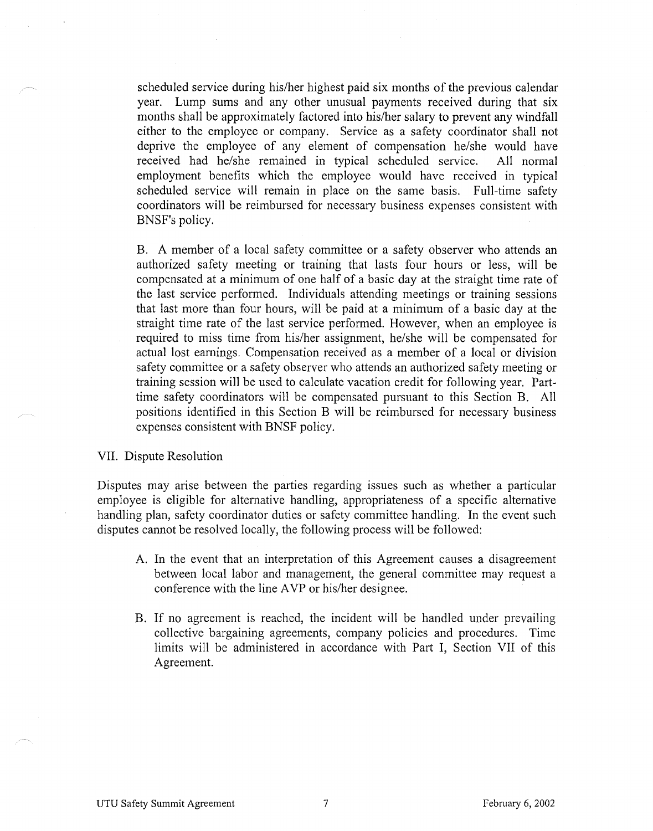scheduled service during his/her highest paid six months of the previous calendar year. Lump sums and any other unusual payments received during that six months shall be approximately factored into his/her salary to prevent any windfall either to the employee or company. Service as a safety coordinator shall not deprive the employee of any element of compensation he/she would have received had he/she remained in typical scheduled service. All normal employment benefits which the employee would have received in typical scheduled service will remain in place on the same basis. Full-time safety coordinators will be reimbursed for necessary business expenses consistent with BNSF's policy.

B. A member of a local safety committee or a safety observer who attends an authorized safety meeting or training that lasts four hours or less, will be compensated at a minimum of one half of a basic day at the straight time rate of the last service performed. Individuals attending meetings or training sessions that last more than four hours, will be paid at a minimum of a basic day at the straight time rate of the last service performed. However, when an employee is required to miss time from his/her assignment, he/she will be compensated for actual lost earnings. Compensation received as a member of a local or division safety committee or a safety observer who attends an authorized safety meeting or training session will be used to calculate vacation credit for following year. Parttime safety coordinators will be compensated pursuant to this Section B. All positions identified in this Section B will be reimbursed for necessary business expenses consistent with BNSF policy.

## VII. Dispute Resolution

Disputes may arise between the parties regarding issues such as whether a particular employee is eligible for alternative handling, appropriateness of a specific alternative handling plan, safety coordinator duties or safety committee handling. In the event such disputes cannot be resolved locally, the following process will be followed:

- A. In the event that an interpretation of this Agreement causes a disagreement between local labor and management, the general committee may request a conference with the line AVP or his/her designee.
- B. If no agreement is reached, the incident will be handled under prevailing collective bargaining agreements, company policies and procedures. Time limits will be administered in accordance with Part I, Section VII of this Agreement.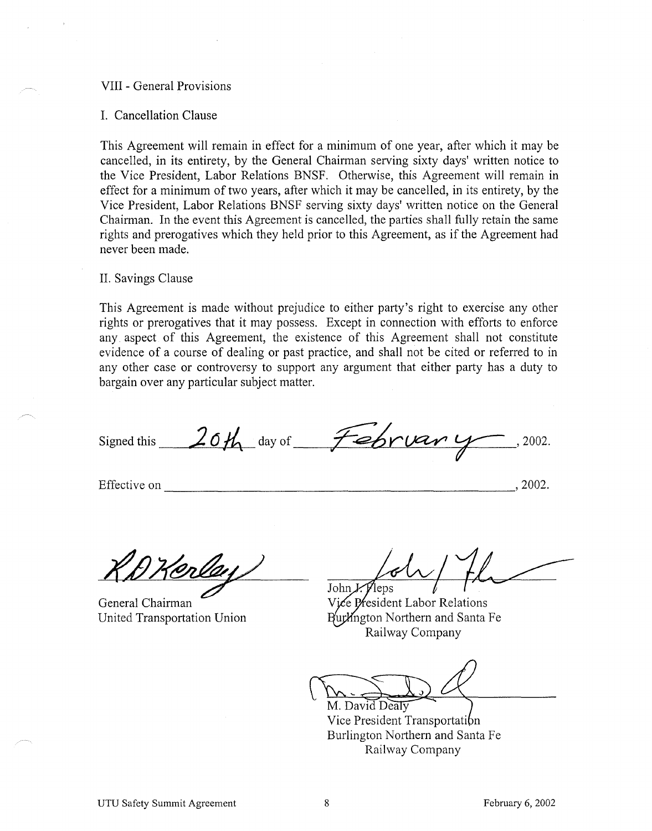## VIII - General Provisions

#### I. Cancellation Clause

This Agreement will remain in effect for a minimum of one year, after which it may be cancelled, in its entirety, by the General Chairman serving sixty days' written notice to the Vice President, Labor Relations BNSF. Otherwise, this Agreement will remain in effect for a minimum of two years, after which it may be cancelled, in its entirety, by the Vice President, Labor Relations BNSF serving sixty days' written notice on the General Chairman. In the event this Agreement is cancelled, the parties shall fully retain the same rights and prerogatives which they held prior to this Agreement, as if the Agreement had never been made.

#### II. Savings Clause

This Agreement is made without prejudice to either party's right to exercise any other rights or prerogatives that it may possess. Except in connection with efforts to enforce any aspect of this Agreement, the existence of this Agreement shall not constitute evidence of a course of dealing or past practice, and shall not be cited or referred to in any other case or controversy to support any argument that either party has a duty to bargain over any particular subject matter.

Signed this  $20\frac{\mu}{4}$  day of  $\frac{20\mu}{\mu}$ . 2002.

Effective on  $, 2002.$ 

General Chairman United Transportation Union

John  $\chi$  Pleps

Vice President Labor Relations Burlington Northern and Santa Fe Railway Company

M. David Dealy Vice President Transportation Burlington Northern and Santa Fe Railway Company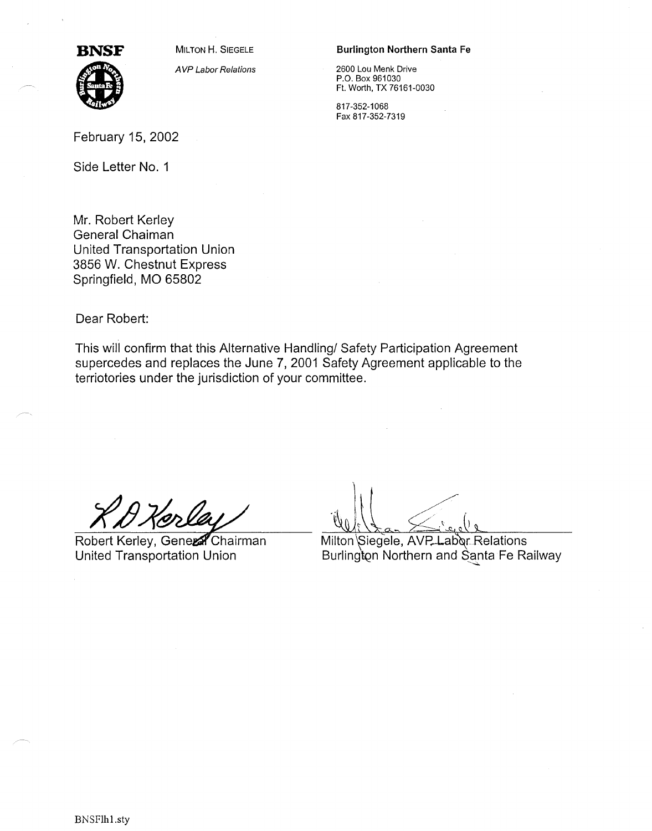

**BNSF** MILTON H. SIEGELE

A VP Labor Relations

#### Burlington Northern Santa Fe

2600 Lou Menk Drive P.O. Box 961030 Ft. Worth, TX 76161-0030

817-352-1068 Fax 817-352-7319

Side Letter No. 1

Mr. Robert Kerley General Chaiman United Transportation Union 3856 W. Chestnut Express Springfield, MO 65802

Dear Robert:

This will confirm that this Alternative Handling/ Safety Participation Agreement supercedes and replaces the June 7, 2001 Safety Agreement applicable to the terriotories under the jurisdiction of your committee.

Robert Kerley, Gener Chairman United Transportation Union

Milton Siegele, AVP Labor Relations Burlington Northern and Santa Fe Railway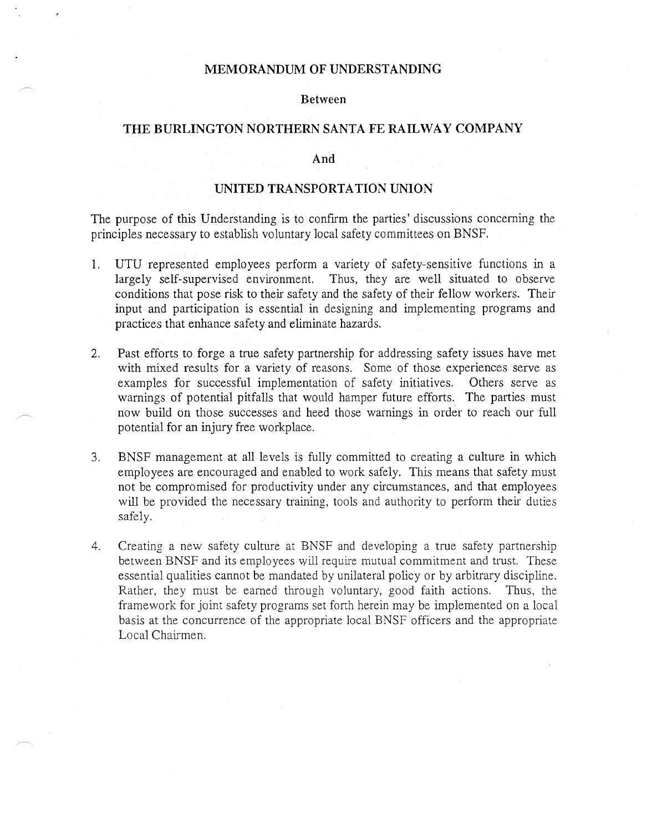## **MEMORANDUM OF UNDERSTANDING**

#### **Between**

## **THE BURLINGTON NORTHERN SANTA FE RAILWAY COMPANY**

## **And**

## **UNITED TRANSPORTATION UNION**

The purpose of this Understanding is to confirm the parties' discussions concerning the principles necessary to establish voluntary local safety committees on BNSF.

- 1. UTU represented employees perform a variety of safety-sensitive functions in a largely self-supervised environment. Thus, they are well situated to observe conditions that pose risk to their safety and the safety of their fellow workers. Their input and participation is essential in designing and implementing programs and practices that enhance safety and eliminate hazards.
- 2. Past efforts to forge a true safety partnership for addressing safety issues have met with mixed results for a variety of reasons. Some of those experiences serve as examples for successful implementation of safety initiatives. Others serve as warnings of potential pitfalls that would hamper future efforts. The parties must now build on those successes and heed those warnings in order to reach our full potential for an injury free workplace.
- 3. BNSF management at all levels is fully committed to creating a culture in which employees are encouraged and enabled to work safely. This means that safety must not be compromised for productivity under any circumstances, and that employees will be provided the necessary training, tools and authority to perform their duties safely.
- 4. Creating a new safety culture at BNSF and developing a true safety partnership between BNSF and its employees will require mutual commitment and trust. These essential qualities cannot be mandated by unilateral policy or by arbitrary discipline. Rather, they must be earned through voluntary, good faith actions. Thus, the framework for joint safety programs set forth herein may be implemented on a local basis at the concurrence of the appropriate local BNSF officers and the appropriate Local Chairmen.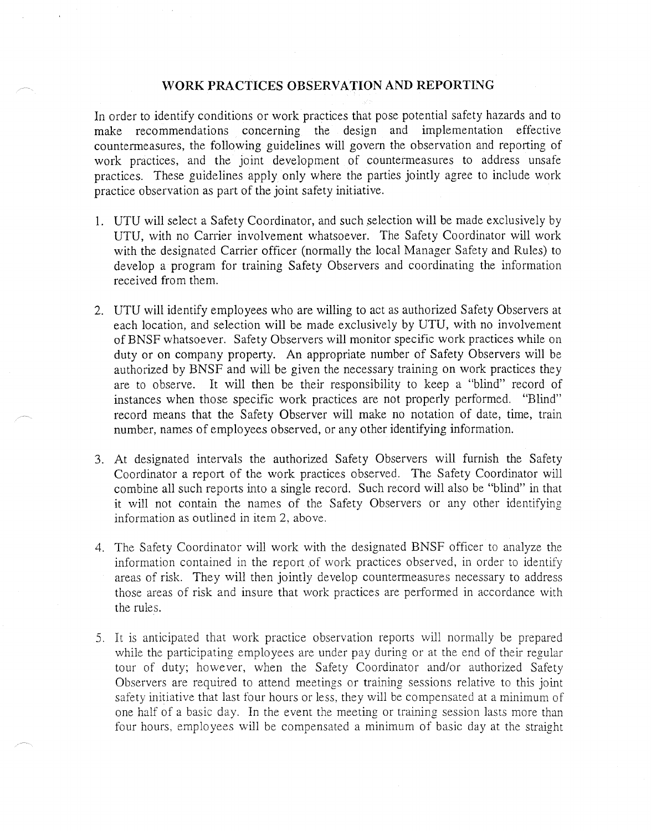## **·woRK PRACTICES OBSERVATION AND REPORTING**

In order to identify conditions or work practices that pose potential safety hazards and to make recommendations concerning the design and implementation effective countermeasures, the following guidelines will govern the observation and reporting of work practices, and the joint development of countermeasures to address unsafe practices. These guidelines apply only where the parties jointly agree to include work practice observation as part of the joint safety initiative.

- 1. UTU will select a Safety Coordinator, and such selection will be made exclusively by UTU, with no Carrier involvement whatsoever. The Safety Coordinator will work with the designated Carrier officer (normally the local Manager Safety and Rules) to develop a program for training Safety Observers and coordinating the information received from them.
- 2. UTU will identify employees who are willing to act as authorized Safety Observers at each location, and selection will be made exclusively by UTU, with no involvement of BNSF whatsoever. Safety Observers will monitor specific work practices while on duty or on company property. An appropriate number of Safety Observers will be authorized by BNSF and will be given the necessary training on work practices they are to observe. It will then be their responsibility to keep a "blind" record of instances when those specific work practices are not properly performed. "Blind" record means that the Safety Observer will make no notation of date, time, train number, names of employees observed, or any other identifying information.
- 3. At designated intervals the authorized Safety Observers will furnish the Safety Coordinator a report of the work practices observed. The Safety Coordinator will combine all such reports into a single record. Such record will also be "blind" in that it will not contain the names of the Safety Observers or any other identifying information as outlined in item 2, above.
- 4. The Safety Coordinator will work with the designated BNSF officer to analyze the information contained in the report of work practices observed, in order to identify areas of risk. They will then jointly develop countermeasures necessary to address those areas of risk and insure that work practices are performed in accordance with the rules.
- 5. It is anticipated that work practice observation reports will normally be prepared while the participating employees are under pay during or at the end of their regular tour of duty; however, when the Safety Coordinator and/or authorized Safety Observers are required to attend meetings or training sessions relative to this joint safety initiative that last four hours or less, they will be compensated at a minimum of one half of a basic day. In the event the meeting or training session lasts more than four hours, employees will be compensated a minimum of basic day at the straight